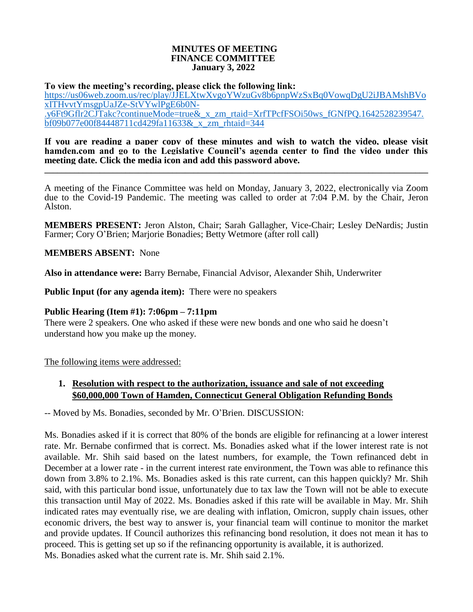#### **MINUTES OF MEETING FINANCE COMMITTEE January 3, 2022**

**To view the meeting's recording, please click the following link:**

[https://us06web.zoom.us/rec/play/JJELXtwXvgoYWzuGv8b6pnpWzSxBq0VowqDgU2iJBAMshBVo](https://us06web.zoom.us/rec/play/JJELXtwXvgoYWzuGv8b6pnpWzSxBq0VowqDgU2iJBAMshBVoxITHvvtYmsgpUaJZe-StVYwlPgE6b0N-.y6Ft9Gflr2CJTakc?continueMode=true&_x_zm_rtaid=XrfTPcfFSOi50ws_fGNfPQ.1642528239547.bf09b077e00f84448711cd429fa11633&_x_zm_rhtaid=344) [xITHvvtYmsgpUaJZe-StVYwlPgE6b0N-](https://us06web.zoom.us/rec/play/JJELXtwXvgoYWzuGv8b6pnpWzSxBq0VowqDgU2iJBAMshBVoxITHvvtYmsgpUaJZe-StVYwlPgE6b0N-.y6Ft9Gflr2CJTakc?continueMode=true&_x_zm_rtaid=XrfTPcfFSOi50ws_fGNfPQ.1642528239547.bf09b077e00f84448711cd429fa11633&_x_zm_rhtaid=344) [.y6Ft9Gflr2CJTakc?continueMode=true&\\_x\\_zm\\_rtaid=XrfTPcfFSOi50ws\\_fGNfPQ.1642528239547.](https://us06web.zoom.us/rec/play/JJELXtwXvgoYWzuGv8b6pnpWzSxBq0VowqDgU2iJBAMshBVoxITHvvtYmsgpUaJZe-StVYwlPgE6b0N-.y6Ft9Gflr2CJTakc?continueMode=true&_x_zm_rtaid=XrfTPcfFSOi50ws_fGNfPQ.1642528239547.bf09b077e00f84448711cd429fa11633&_x_zm_rhtaid=344) [bf09b077e00f84448711cd429fa11633&\\_x\\_zm\\_rhtaid=344](https://us06web.zoom.us/rec/play/JJELXtwXvgoYWzuGv8b6pnpWzSxBq0VowqDgU2iJBAMshBVoxITHvvtYmsgpUaJZe-StVYwlPgE6b0N-.y6Ft9Gflr2CJTakc?continueMode=true&_x_zm_rtaid=XrfTPcfFSOi50ws_fGNfPQ.1642528239547.bf09b077e00f84448711cd429fa11633&_x_zm_rhtaid=344)

**If you are reading a paper copy of these minutes and wish to watch the video, please visit hamden.com and go to the Legislative Council's agenda center to find the video under this meeting date. Click the media icon and add this password above. \_\_\_\_\_\_\_\_\_\_\_\_\_\_\_\_\_\_\_\_\_\_\_\_\_\_\_\_\_\_\_\_\_\_\_\_\_\_\_\_\_\_\_\_\_\_\_\_\_\_\_\_\_\_\_\_\_\_\_\_\_\_\_\_\_\_\_\_\_\_\_\_\_\_\_\_\_\_\_\_\_\_\_\_\_\_\_\_\_\_**

A meeting of the Finance Committee was held on Monday, January 3, 2022, electronically via Zoom due to the Covid-19 Pandemic. The meeting was called to order at 7:04 P.M. by the Chair, Jeron Alston.

**MEMBERS PRESENT:** Jeron Alston, Chair; Sarah Gallagher, Vice-Chair; Lesley DeNardis; Justin Farmer; Cory O'Brien; Marjorie Bonadies; Betty Wetmore (after roll call)

**MEMBERS ABSENT:** None

**Also in attendance were:** Barry Bernabe, Financial Advisor, Alexander Shih, Underwriter

**Public Input (for any agenda item):** There were no speakers

#### **Public Hearing (Item #1): 7:06pm – 7:11pm**

There were 2 speakers. One who asked if these were new bonds and one who said he doesn't understand how you make up the money.

The following items were addressed:

## **1. Resolution with respect to the authorization, issuance and sale of not exceeding \$60,000,000 Town of Hamden, Connecticut General Obligation Refunding Bonds**

-- Moved by Ms. Bonadies, seconded by Mr. O'Brien. DISCUSSION:

Ms. Bonadies asked if it is correct that 80% of the bonds are eligible for refinancing at a lower interest rate. Mr. Bernabe confirmed that is correct. Ms. Bonadies asked what if the lower interest rate is not available. Mr. Shih said based on the latest numbers, for example, the Town refinanced debt in December at a lower rate - in the current interest rate environment, the Town was able to refinance this down from 3.8% to 2.1%. Ms. Bonadies asked is this rate current, can this happen quickly? Mr. Shih said, with this particular bond issue, unfortunately due to tax law the Town will not be able to execute this transaction until May of 2022. Ms. Bonadies asked if this rate will be available in May. Mr. Shih indicated rates may eventually rise, we are dealing with inflation, Omicron, supply chain issues, other economic drivers, the best way to answer is, your financial team will continue to monitor the market and provide updates. If Council authorizes this refinancing bond resolution, it does not mean it has to proceed. This is getting set up so if the refinancing opportunity is available, it is authorized. Ms. Bonadies asked what the current rate is. Mr. Shih said 2.1%.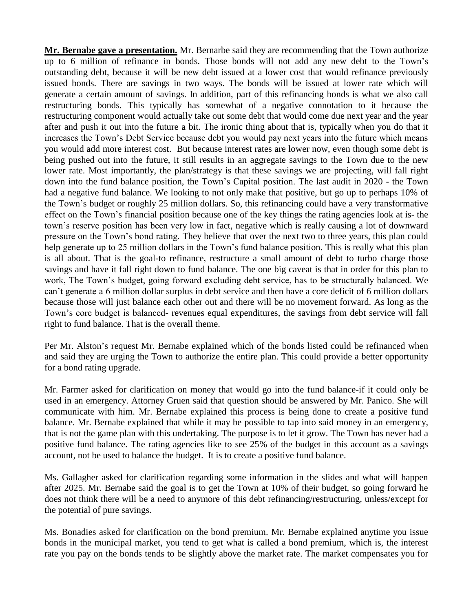**Mr. Bernabe gave a presentation.** Mr. Bernarbe said they are recommending that the Town authorize up to 6 million of refinance in bonds. Those bonds will not add any new debt to the Town's outstanding debt, because it will be new debt issued at a lower cost that would refinance previously issued bonds. There are savings in two ways. The bonds will be issued at lower rate which will generate a certain amount of savings. In addition, part of this refinancing bonds is what we also call restructuring bonds. This typically has somewhat of a negative connotation to it because the restructuring component would actually take out some debt that would come due next year and the year after and push it out into the future a bit. The ironic thing about that is, typically when you do that it increases the Town's Debt Service because debt you would pay next years into the future which means you would add more interest cost. But because interest rates are lower now, even though some debt is being pushed out into the future, it still results in an aggregate savings to the Town due to the new lower rate. Most importantly, the plan/strategy is that these savings we are projecting, will fall right down into the fund balance position, the Town's Capital position. The last audit in 2020 - the Town had a negative fund balance. We looking to not only make that positive, but go up to perhaps 10% of the Town's budget or roughly 25 million dollars. So, this refinancing could have a very transformative effect on the Town's financial position because one of the key things the rating agencies look at is- the town's reserve position has been very low in fact, negative which is really causing a lot of downward pressure on the Town's bond rating. They believe that over the next two to three years, this plan could help generate up to 25 million dollars in the Town's fund balance position. This is really what this plan is all about. That is the goal-to refinance, restructure a small amount of debt to turbo charge those savings and have it fall right down to fund balance. The one big caveat is that in order for this plan to work, The Town's budget, going forward excluding debt service, has to be structurally balanced. We can't generate a 6 million dollar surplus in debt service and then have a core deficit of 6 million dollars because those will just balance each other out and there will be no movement forward. As long as the Town's core budget is balanced- revenues equal expenditures, the savings from debt service will fall right to fund balance. That is the overall theme.

Per Mr. Alston's request Mr. Bernabe explained which of the bonds listed could be refinanced when and said they are urging the Town to authorize the entire plan. This could provide a better opportunity for a bond rating upgrade.

Mr. Farmer asked for clarification on money that would go into the fund balance-if it could only be used in an emergency. Attorney Gruen said that question should be answered by Mr. Panico. She will communicate with him. Mr. Bernabe explained this process is being done to create a positive fund balance. Mr. Bernabe explained that while it may be possible to tap into said money in an emergency, that is not the game plan with this undertaking. The purpose is to let it grow. The Town has never had a positive fund balance. The rating agencies like to see 25% of the budget in this account as a savings account, not be used to balance the budget. It is to create a positive fund balance.

Ms. Gallagher asked for clarification regarding some information in the slides and what will happen after 2025. Mr. Bernabe said the goal is to get the Town at 10% of their budget, so going forward he does not think there will be a need to anymore of this debt refinancing/restructuring, unless/except for the potential of pure savings.

Ms. Bonadies asked for clarification on the bond premium. Mr. Bernabe explained anytime you issue bonds in the municipal market, you tend to get what is called a bond premium, which is, the interest rate you pay on the bonds tends to be slightly above the market rate. The market compensates you for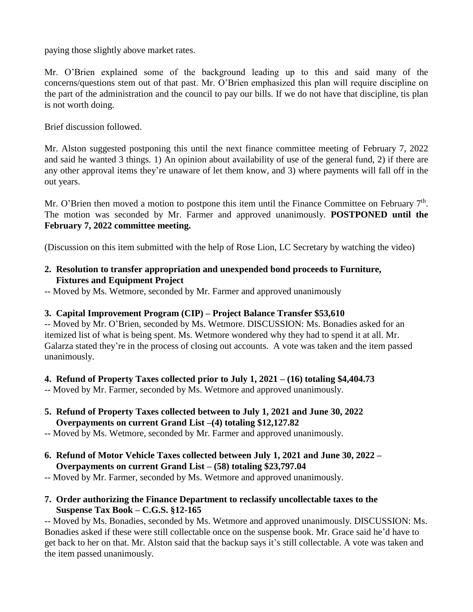paying those slightly above market rates.

Mr. O'Brien explained some of the background leading up to this and said many of the concerns/questions stem out of that past. Mr. O'Brien emphasized this plan will require discipline on the part of the administration and the council to pay our bills. If we do not have that discipline, tis plan is not worth doing.

Brief discussion followed.

Mr. Alston suggested postponing this until the next finance committee meeting of February 7, 2022 and said he wanted 3 things. 1) An opinion about availability of use of the general fund, 2) if there are any other approval items they're unaware of let them know, and 3) where payments will fall off in the out years.

Mr. O'Brien then moved a motion to postpone this item until the Finance Committee on February 7<sup>th</sup>. The motion was seconded by Mr. Farmer and approved unanimously. **POSTPONED until the February 7, 2022 committee meeting.**

(Discussion on this item submitted with the help of Rose Lion, LC Secretary by watching the video)

- **2. Resolution to transfer appropriation and unexpended bond proceeds to Furniture, Fixtures and Equipment Project**
- -- Moved by Ms. Wetmore, seconded by Mr. Farmer and approved unanimously

## **3. Capital Improvement Program (CIP) – Project Balance Transfer \$53,610**

-- Moved by Mr. O'Brien, seconded by Ms. Wetmore. DISCUSSION: Ms. Bonadies asked for an itemized list of what is being spent. Ms. Wetmore wondered why they had to spend it at all. Mr. Galarza stated they're in the process of closing out accounts. A vote was taken and the item passed unanimously.

**4. Refund of Property Taxes collected prior to July 1, 2021 – (16) totaling \$4,404.73**

-- Moved by Mr. Farmer, seconded by Ms. Wetmore and approved unanimously.

**5. Refund of Property Taxes collected between to July 1, 2021 and June 30, 2022 Overpayments on current Grand List –(4) totaling \$12,127.82**

-- Moved by Ms. Wetmore, seconded by Mr. Farmer and approved unanimously.

**6. Refund of Motor Vehicle Taxes collected between July 1, 2021 and June 30, 2022 – Overpayments on current Grand List – (58) totaling \$23,797.04**

-- Moved by Mr. Farmer, seconded by Ms. Wetmore and approved unanimously.

**7. Order authorizing the Finance Department to reclassify uncollectable taxes to the Suspense Tax Book – C.G.S. §12-165**

-- Moved by Ms. Bonadies, seconded by Ms. Wetmore and approved unanimously. DISCUSSION: Ms. Bonadies asked if these were still collectable once on the suspense book. Mr. Grace said he'd have to get back to her on that. Mr. Alston said that the backup says it's still collectable. A vote was taken and the item passed unanimously.